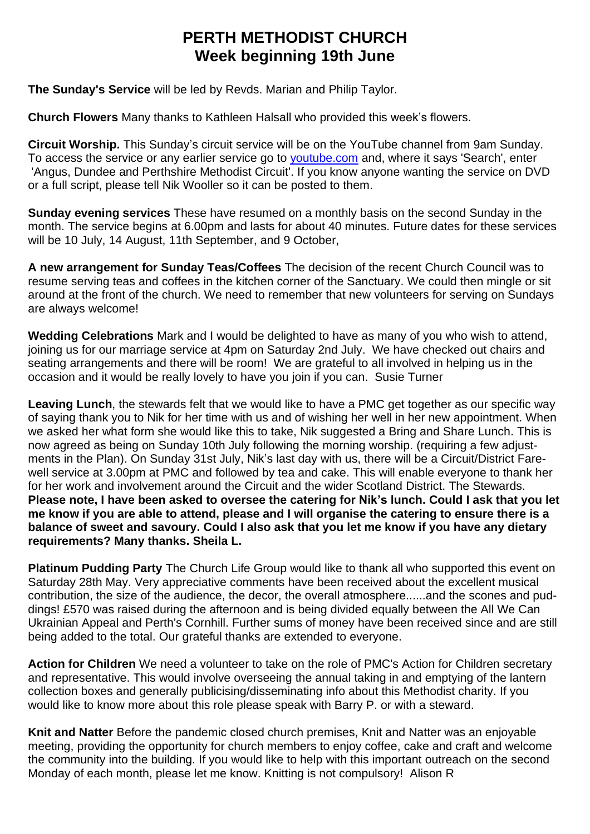## **PERTH METHODIST CHURCH Week beginning 19th June**

**The Sunday's Service** will be led by Revds. Marian and Philip Taylor.

**Church Flowers** Many thanks to Kathleen Halsall who provided this week's flowers.

**Circuit Worship.** This Sunday's circuit service will be on the YouTube channel from 9am Sunday. To access the service or any earlier service go to [youtube.com](http://youtube.com/) and, where it says 'Search', enter 'Angus, Dundee and Perthshire Methodist Circuit'. If you know anyone wanting the service on DVD or a full script, please tell Nik Wooller so it can be posted to them.

**Sunday evening services** These have resumed on a monthly basis on the second Sunday in the month. The service begins at 6.00pm and lasts for about 40 minutes. Future dates for these services will be 10 July, 14 August, 11th September, and 9 October,

**A new arrangement for Sunday Teas/Coffees** The decision of the recent Church Council was to resume serving teas and coffees in the kitchen corner of the Sanctuary. We could then mingle or sit around at the front of the church. We need to remember that new volunteers for serving on Sundays are always welcome!

**Wedding Celebrations** Mark and I would be delighted to have as many of you who wish to attend, joining us for our marriage service at 4pm on Saturday 2nd July. We have checked out chairs and seating arrangements and there will be room! We are grateful to all involved in helping us in the occasion and it would be really lovely to have you join if you can. Susie Turner

**Leaving Lunch**, the stewards felt that we would like to have a PMC get together as our specific way of saying thank you to Nik for her time with us and of wishing her well in her new appointment. When we asked her what form she would like this to take, Nik suggested a Bring and Share Lunch. This is now agreed as being on Sunday 10th July following the morning worship. (requiring a few adjustments in the Plan). On Sunday 31st July, Nik's last day with us, there will be a Circuit/District Farewell service at 3.00pm at PMC and followed by tea and cake. This will enable everyone to thank her for her work and involvement around the Circuit and the wider Scotland District. The Stewards. Please note, I have been asked to oversee the catering for Nik's lunch. Could I ask that you let me know if you are able to attend, please and I will organise the catering to ensure there is a **balance of sweet and savoury. Could I also ask that you let me know if you have any dietary requirements? Many thanks. Sheila L.**

**Platinum Pudding Party** The Church Life Group would like to thank all who supported this event on Saturday 28th May. Very appreciative comments have been received about the excellent musical contribution, the size of the audience, the decor, the overall atmosphere......and the scones and puddings! £570 was raised during the afternoon and is being divided equally between the All We Can Ukrainian Appeal and Perth's Cornhill. Further sums of money have been received since and are still being added to the total. Our grateful thanks are extended to everyone.

**Action for Children** We need a volunteer to take on the role of PMC's Action for Children secretary and representative. This would involve overseeing the annual taking in and emptying of the lantern collection boxes and generally publicising/disseminating info about this Methodist charity. If you would like to know more about this role please speak with Barry P. or with a steward.

**Knit and Natter** Before the pandemic closed church premises, Knit and Natter was an enjoyable meeting, providing the opportunity for church members to enjoy coffee, cake and craft and welcome the community into the building. If you would like to help with this important outreach on the second Monday of each month, please let me know. Knitting is not compulsory! Alison R